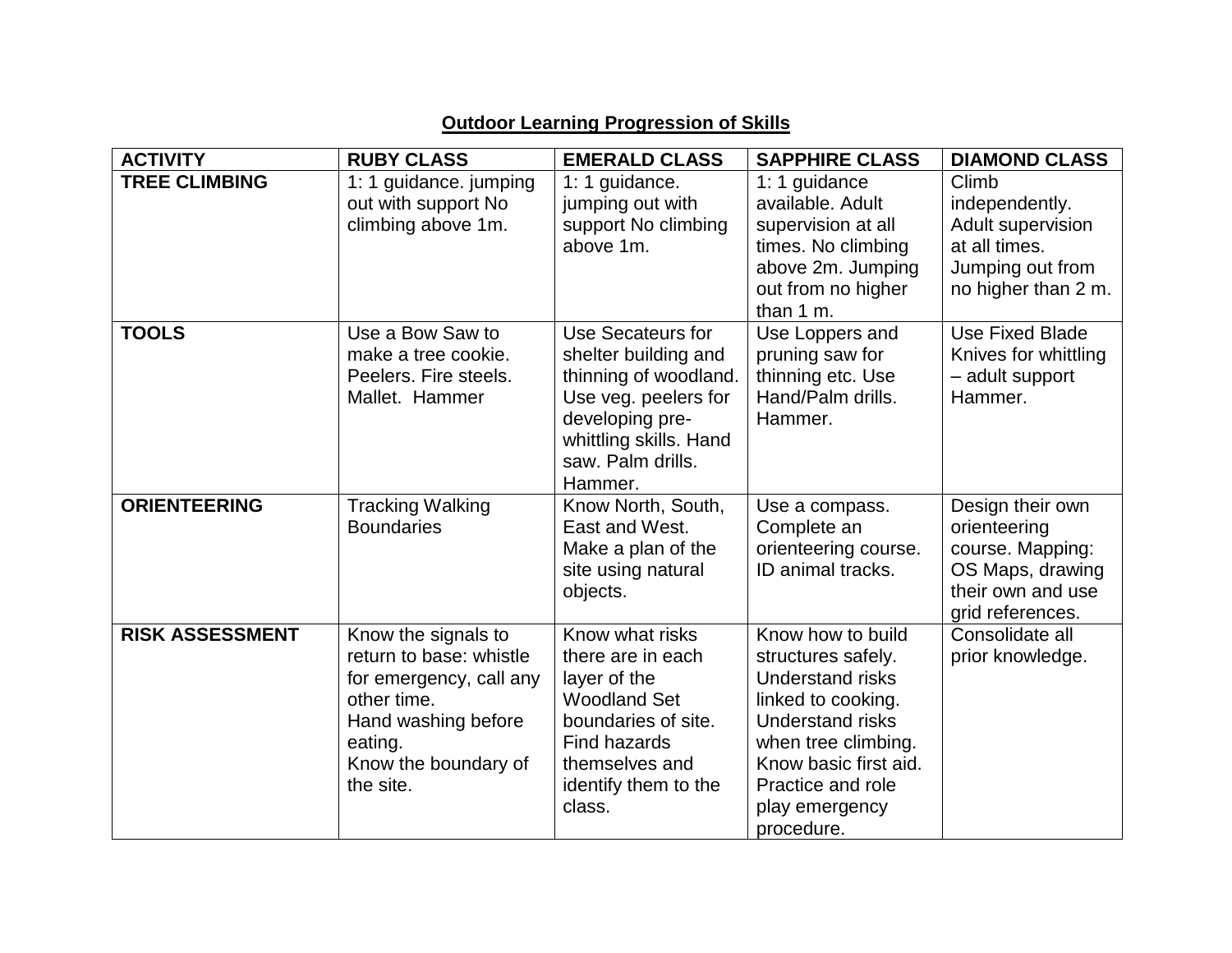| <b>ACTIVITY</b>        | <b>RUBY CLASS</b>                                                                                                                                               | <b>EMERALD CLASS</b>                                                                                                                                                    | <b>SAPPHIRE CLASS</b>                                                                                                                                                                                                    | <b>DIAMOND CLASS</b>                                                                                              |
|------------------------|-----------------------------------------------------------------------------------------------------------------------------------------------------------------|-------------------------------------------------------------------------------------------------------------------------------------------------------------------------|--------------------------------------------------------------------------------------------------------------------------------------------------------------------------------------------------------------------------|-------------------------------------------------------------------------------------------------------------------|
| <b>TREE CLIMBING</b>   | 1: 1 guidance. jumping<br>out with support No<br>climbing above 1m.                                                                                             | 1: 1 guidance.<br>jumping out with<br>support No climbing<br>above 1m.                                                                                                  | 1: 1 guidance<br>available, Adult<br>supervision at all<br>times. No climbing<br>above 2m. Jumping<br>out from no higher<br>than 1 m.                                                                                    | Climb<br>independently.<br>Adult supervision<br>at all times.<br>Jumping out from<br>no higher than 2 m.          |
| <b>TOOLS</b>           | Use a Bow Saw to<br>make a tree cookie.<br>Peelers. Fire steels.<br>Mallet. Hammer                                                                              | Use Secateurs for<br>shelter building and<br>thinning of woodland.<br>Use veg. peelers for<br>developing pre-<br>whittling skills. Hand<br>saw. Palm drills.<br>Hammer. | Use Loppers and<br>pruning saw for<br>thinning etc. Use<br>Hand/Palm drills.<br>Hammer.                                                                                                                                  | <b>Use Fixed Blade</b><br>Knives for whittling<br>- adult support<br>Hammer.                                      |
| <b>ORIENTEERING</b>    | <b>Tracking Walking</b><br><b>Boundaries</b>                                                                                                                    | Know North, South,<br>East and West.<br>Make a plan of the<br>site using natural<br>objects.                                                                            | Use a compass.<br>Complete an<br>orienteering course.<br>ID animal tracks.                                                                                                                                               | Design their own<br>orienteering<br>course. Mapping:<br>OS Maps, drawing<br>their own and use<br>grid references. |
| <b>RISK ASSESSMENT</b> | Know the signals to<br>return to base: whistle<br>for emergency, call any<br>other time.<br>Hand washing before<br>eating.<br>Know the boundary of<br>the site. | Know what risks<br>there are in each<br>layer of the<br><b>Woodland Set</b><br>boundaries of site.<br>Find hazards<br>themselves and<br>identify them to the<br>class.  | Know how to build<br>structures safely.<br><b>Understand risks</b><br>linked to cooking.<br><b>Understand risks</b><br>when tree climbing.<br>Know basic first aid.<br>Practice and role<br>play emergency<br>procedure. | Consolidate all<br>prior knowledge.                                                                               |

## **Outdoor Learning Progression of Skills**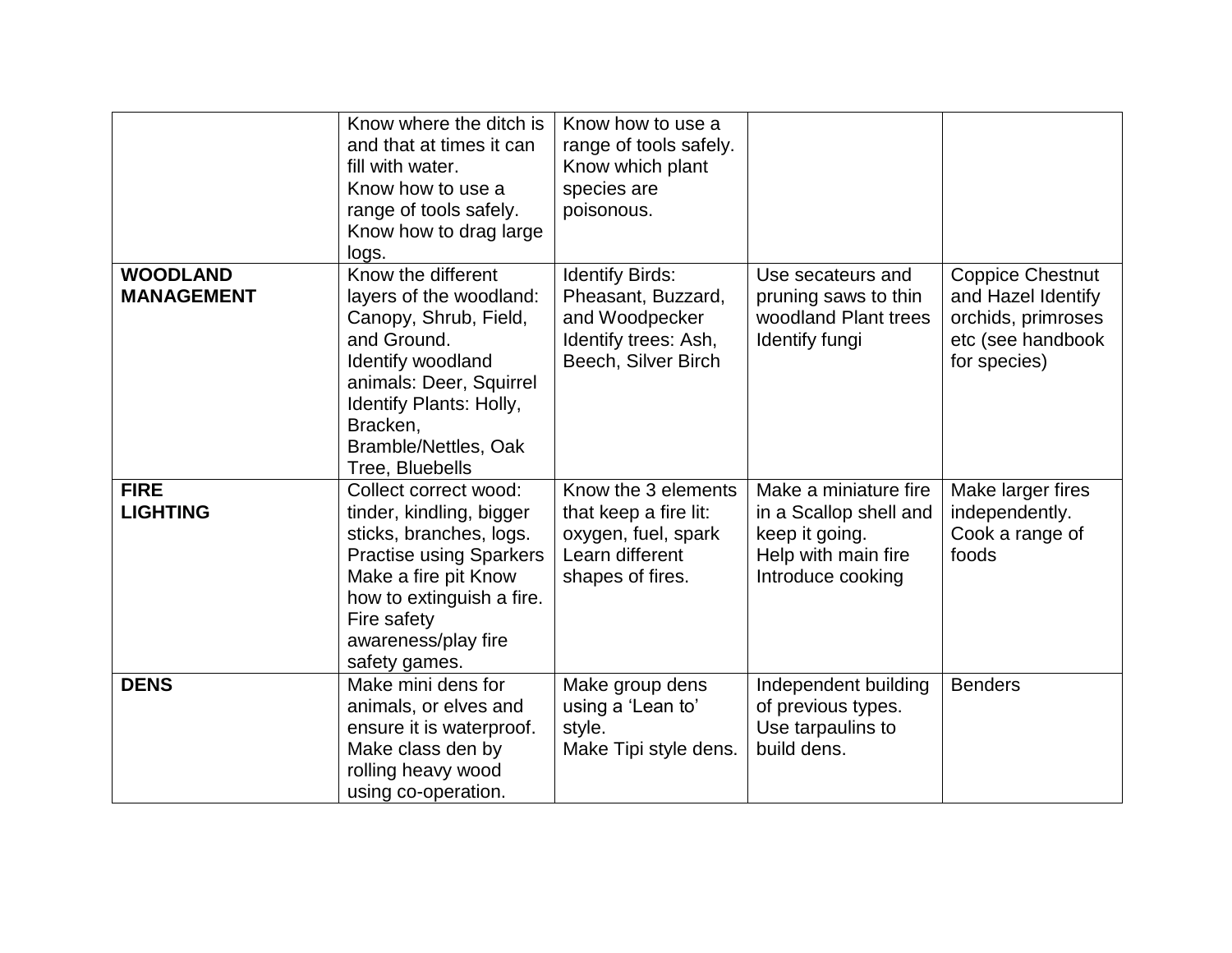|                                      | Know where the ditch is<br>and that at times it can<br>fill with water.<br>Know how to use a<br>range of tools safely.<br>Know how to drag large<br>logs.                                                                             | Know how to use a<br>range of tools safely.<br>Know which plant<br>species are<br>poisonous.                  |                                                                                                               |                                                                                                          |
|--------------------------------------|---------------------------------------------------------------------------------------------------------------------------------------------------------------------------------------------------------------------------------------|---------------------------------------------------------------------------------------------------------------|---------------------------------------------------------------------------------------------------------------|----------------------------------------------------------------------------------------------------------|
| <b>WOODLAND</b><br><b>MANAGEMENT</b> | Know the different<br>layers of the woodland:<br>Canopy, Shrub, Field,<br>and Ground.<br><b>Identify woodland</b><br>animals: Deer, Squirrel<br>Identify Plants: Holly,<br>Bracken,<br><b>Bramble/Nettles, Oak</b><br>Tree, Bluebells | <b>Identify Birds:</b><br>Pheasant, Buzzard,<br>and Woodpecker<br>Identify trees: Ash,<br>Beech, Silver Birch | Use secateurs and<br>pruning saws to thin<br>woodland Plant trees<br>Identify fungi                           | <b>Coppice Chestnut</b><br>and Hazel Identify<br>orchids, primroses<br>etc (see handbook<br>for species) |
| <b>FIRE</b><br><b>LIGHTING</b>       | Collect correct wood:<br>tinder, kindling, bigger<br>sticks, branches, logs.<br><b>Practise using Sparkers</b><br>Make a fire pit Know<br>how to extinguish a fire.<br>Fire safety<br>awareness/play fire<br>safety games.            | Know the 3 elements<br>that keep a fire lit:<br>oxygen, fuel, spark<br>Learn different<br>shapes of fires.    | Make a miniature fire<br>in a Scallop shell and<br>keep it going.<br>Help with main fire<br>Introduce cooking | Make larger fires<br>independently.<br>Cook a range of<br>foods                                          |
| <b>DENS</b>                          | Make mini dens for<br>animals, or elves and<br>ensure it is waterproof.<br>Make class den by<br>rolling heavy wood<br>using co-operation.                                                                                             | Make group dens<br>using a 'Lean to'<br>style.<br>Make Tipi style dens.                                       | Independent building<br>of previous types.<br>Use tarpaulins to<br>build dens.                                | <b>Benders</b>                                                                                           |